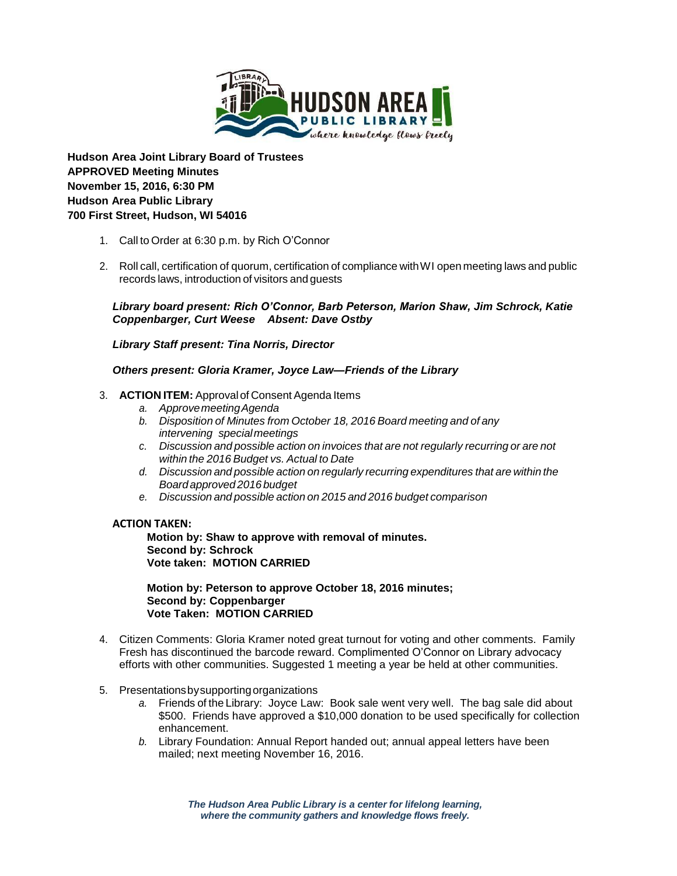

**Hudson Area Joint Library Board of Trustees APPROVED Meeting Minutes November 15, 2016, 6:30 PM Hudson Area Public Library 700 First Street, Hudson, WI 54016**

- 1. Call to Order at 6:30 p.m. by Rich O'Connor
- 2. Roll call, certification of quorum, certification of compliance withWI open meeting laws and public records laws, introduction of visitors and guests

*Library board present: Rich O'Connor, Barb Peterson, Marion Shaw, Jim Schrock, Katie Coppenbarger, Curt Weese Absent: Dave Ostby*

*Library Staff present: Tina Norris, Director*

*Others present: Gloria Kramer, Joyce Law—Friends of the Library*

# 3. **ACTION ITEM:** Approval of Consent Agenda Items

- *a. ApprovemeetingAgenda*
- *b. Disposition of Minutes from October 18, 2016 Board meeting and of any intervening special meetings*
- *c. Discussion and possible action on invoices that are not regularly recurring or are not within the 2016 Budget vs. Actual to Date*
- *d. Discussion and possible action on regularly recurring expenditures that are within the Board approved 2016 budget*
- *e. Discussion and possible action on 2015 and 2016 budget comparison*

### **ACTION TAKEN:**

**Motion by: Shaw to approve with removal of minutes. Second by: Schrock Vote taken: MOTION CARRIED**

**Motion by: Peterson to approve October 18, 2016 minutes; Second by: Coppenbarger Vote Taken: MOTION CARRIED**

- 4. Citizen Comments: Gloria Kramer noted great turnout for voting and other comments. Family Fresh has discontinued the barcode reward. Complimented O'Connor on Library advocacy efforts with other communities. Suggested 1 meeting a year be held at other communities.
- 5. Presentationsbysupportingorganizations
	- *a.* Friends of the Library: Joyce Law: Book sale went very well. The bag sale did about \$500. Friends have approved a \$10,000 donation to be used specifically for collection enhancement.
	- *b.* Library Foundation: Annual Report handed out; annual appeal letters have been mailed; next meeting November 16, 2016.

*The Hudson Area Public Library is a center for lifelong learning, where the community gathers and knowledge flows freely.*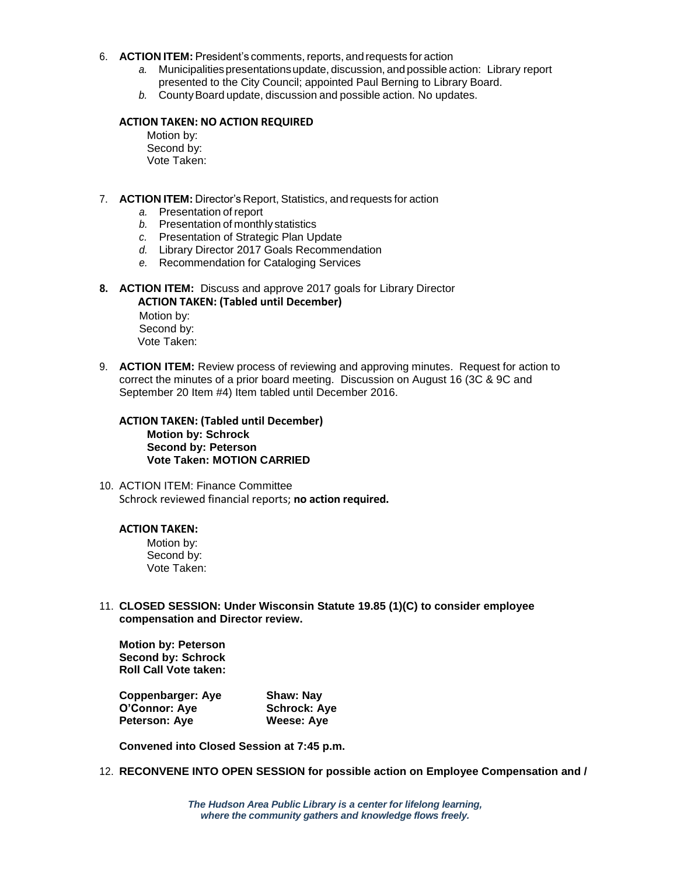#### 6. **ACTION ITEM:** President's comments, reports, andrequests for action

- *a.* Municipalitiespresentationsupdate, discussion, and possible action: Library report presented to the City Council; appointed Paul Berning to Library Board.
- **b.** County Board update, discussion and possible action. No updates.

## **ACTION TAKEN: NO ACTION REQUIRED**

Motion by: Second by: Vote Taken:

- 7. **ACTION ITEM:** Director's Report, Statistics, and requests for action
	- *a.* Presentation of report
	- *b.* Presentation of monthly statistics
	- *c.* Presentation of Strategic Plan Update
	- *d.* Library Director 2017 Goals Recommendation
	- *e.* Recommendation for Cataloging Services
- **8. ACTION ITEM:** Discuss and approve 2017 goals for Library Director  **ACTION TAKEN: (Tabled until December)**

Motion by: Second by: Vote Taken:

9. **ACTION ITEM:** Review process of reviewing and approving minutes. Request for action to correct the minutes of a prior board meeting. Discussion on August 16 (3C & 9C and September 20 Item #4) Item tabled until December 2016.

**ACTION TAKEN: (Tabled until December) Motion by: Schrock Second by: Peterson Vote Taken: MOTION CARRIED**

10. ACTION ITEM: Finance Committee Schrock reviewed financial reports; **no action required.**

#### **ACTION TAKEN:**

Motion by: Second by: Vote Taken:

11. **CLOSED SESSION: Under Wisconsin Statute 19.85 (1)(C) to consider employee compensation and Director review.**

**Motion by: Peterson Second by: Schrock Roll Call Vote taken:** 

**Coppenbarger: Aye Shaw: Nay O'Connor: Aye Schrock: Aye Peterson: Aye Weese: Aye**

**Convened into Closed Session at 7:45 p.m.**

12. **RECONVENE INTO OPEN SESSION for possible action on Employee Compensation and /** 

*The Hudson Area Public Library is a center for lifelong learning, where the community gathers and knowledge flows freely.*